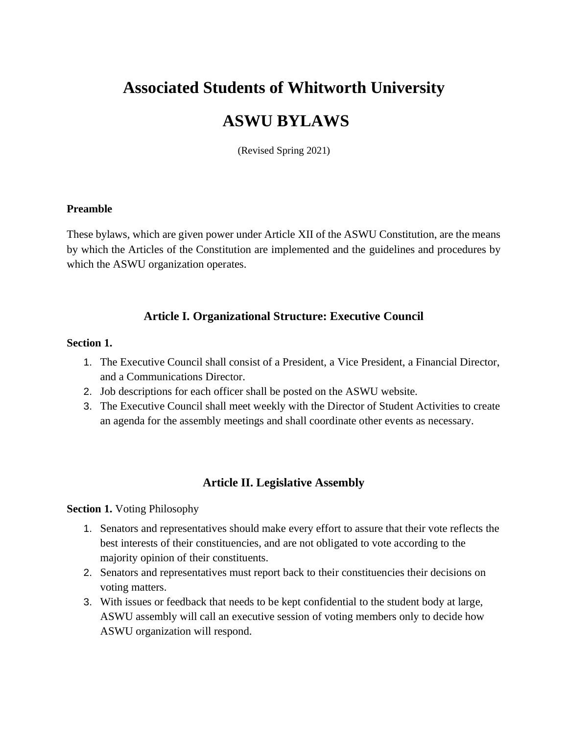# **Associated Students of Whitworth University**

# **ASWU BYLAWS**

(Revised Spring 2021)

#### **Preamble**

These bylaws, which are given power under Article XII of the ASWU Constitution, are the means by which the Articles of the Constitution are implemented and the guidelines and procedures by which the ASWU organization operates.

## **Article I. Organizational Structure: Executive Council**

#### **Section 1.**

- 1. The Executive Council shall consist of a President, a Vice President, a Financial Director, and a Communications Director.
- 2. Job descriptions for each officer shall be posted on the ASWU website.
- 3. The Executive Council shall meet weekly with the Director of Student Activities to create an agenda for the assembly meetings and shall coordinate other events as necessary.

## **Article II. Legislative Assembly**

**Section 1.** Voting Philosophy

- 1. Senators and representatives should make every effort to assure that their vote reflects the best interests of their constituencies, and are not obligated to vote according to the majority opinion of their constituents.
- 2. Senators and representatives must report back to their constituencies their decisions on voting matters.
- 3. With issues or feedback that needs to be kept confidential to the student body at large, ASWU assembly will call an executive session of voting members only to decide how ASWU organization will respond.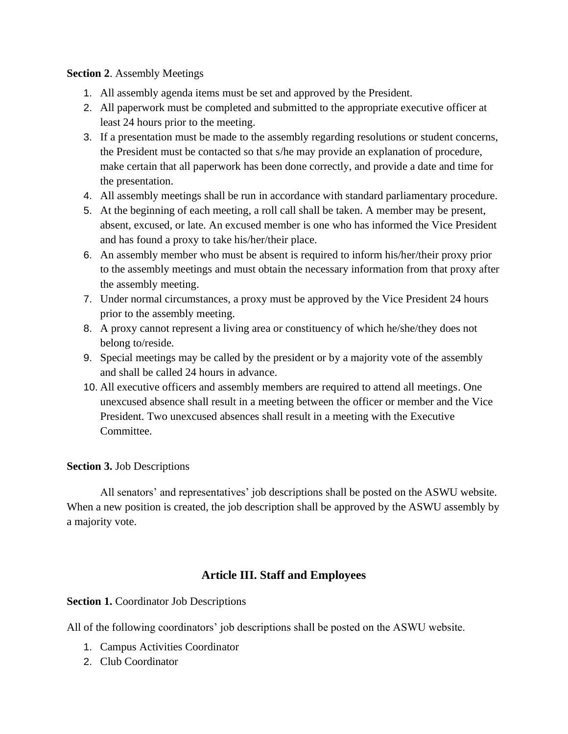#### **Section 2**. Assembly Meetings

- 1. All assembly agenda items must be set and approved by the President.
- 2. All paperwork must be completed and submitted to the appropriate executive officer at least 24 hours prior to the meeting.
- 3. If a presentation must be made to the assembly regarding resolutions or student concerns, the President must be contacted so that s/he may provide an explanation of procedure, make certain that all paperwork has been done correctly, and provide a date and time for the presentation.
- 4. All assembly meetings shall be run in accordance with standard parliamentary procedure.
- 5. At the beginning of each meeting, a roll call shall be taken. A member may be present, absent, excused, or late. An excused member is one who has informed the Vice President and has found a proxy to take his/her/their place.
- 6. An assembly member who must be absent is required to inform his/her/their proxy prior to the assembly meetings and must obtain the necessary information from that proxy after the assembly meeting.
- 7. Under normal circumstances, a proxy must be approved by the Vice President 24 hours prior to the assembly meeting.
- 8. A proxy cannot represent a living area or constituency of which he/she/they does not belong to/reside.
- 9. Special meetings may be called by the president or by a majority vote of the assembly and shall be called 24 hours in advance.
- 10. All executive officers and assembly members are required to attend all meetings. One unexcused absence shall result in a meeting between the officer or member and the Vice President. Two unexcused absences shall result in a meeting with the Executive Committee.

## **Section 3.** Job Descriptions

 All senators' and representatives' job descriptions shall be posted on the ASWU website. When a new position is created, the job description shall be approved by the ASWU assembly by a majority vote.

# **Article III. Staff and Employees**

**Section 1.** Coordinator Job Descriptions

All of the following coordinators' job descriptions shall be posted on the ASWU website.

- 1. Campus Activities Coordinator
- 2. Club Coordinator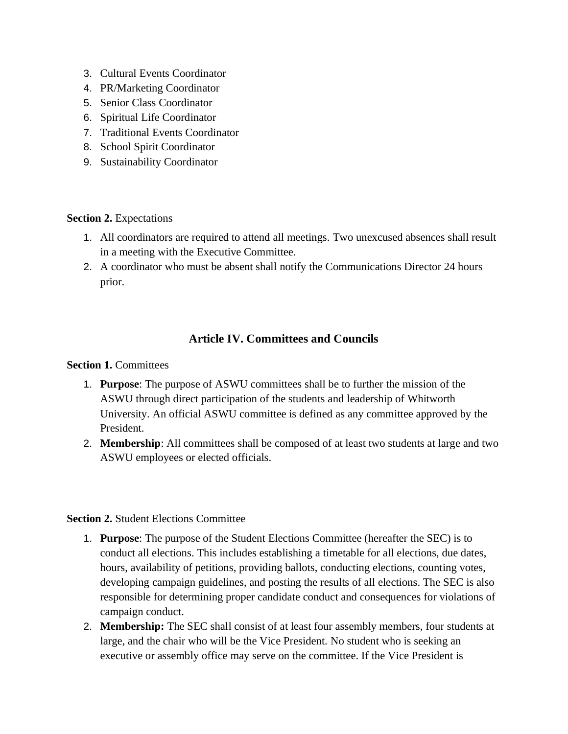- 3. Cultural Events Coordinator
- 4. PR/Marketing Coordinator
- 5. Senior Class Coordinator
- 6. Spiritual Life Coordinator
- 7. Traditional Events Coordinator
- 8. School Spirit Coordinator
- 9. Sustainability Coordinator

#### **Section 2.** Expectations

- 1. All coordinators are required to attend all meetings. Two unexcused absences shall result in a meeting with the Executive Committee.
- 2. A coordinator who must be absent shall notify the Communications Director 24 hours prior.

# **Article IV. Committees and Councils**

**Section 1. Committees** 

- 1. **Purpose**: The purpose of ASWU committees shall be to further the mission of the ASWU through direct participation of the students and leadership of Whitworth University. An official ASWU committee is defined as any committee approved by the President.
- 2. **Membership**: All committees shall be composed of at least two students at large and two ASWU employees or elected officials.

#### **Section 2.** Student Elections Committee

- 1. **Purpose**: The purpose of the Student Elections Committee (hereafter the SEC) is to conduct all elections. This includes establishing a timetable for all elections, due dates, hours, availability of petitions, providing ballots, conducting elections, counting votes, developing campaign guidelines, and posting the results of all elections. The SEC is also responsible for determining proper candidate conduct and consequences for violations of campaign conduct.
- 2. **Membership:** The SEC shall consist of at least four assembly members, four students at large, and the chair who will be the Vice President. No student who is seeking an executive or assembly office may serve on the committee. If the Vice President is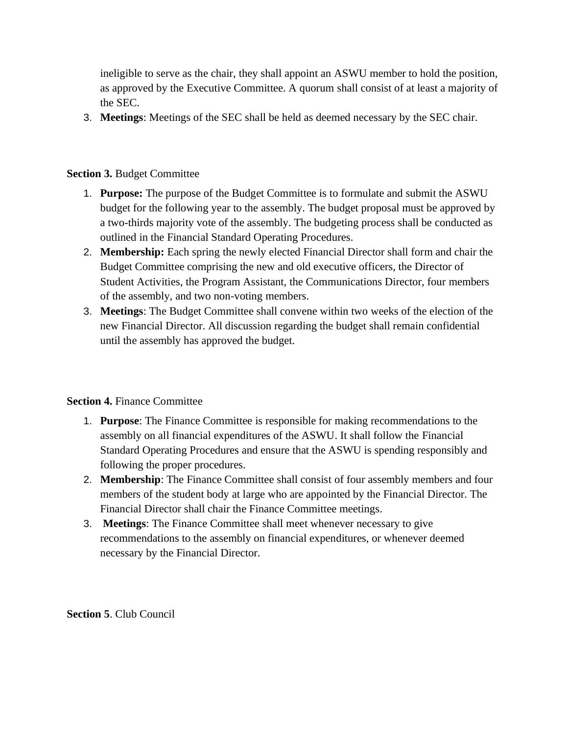ineligible to serve as the chair, they shall appoint an ASWU member to hold the position, as approved by the Executive Committee. A quorum shall consist of at least a majority of the SEC.

3. **Meetings**: Meetings of the SEC shall be held as deemed necessary by the SEC chair.

## **Section 3.** Budget Committee

- 1. **Purpose:** The purpose of the Budget Committee is to formulate and submit the ASWU budget for the following year to the assembly. The budget proposal must be approved by a two-thirds majority vote of the assembly. The budgeting process shall be conducted as outlined in the Financial Standard Operating Procedures.
- 2. **Membership:** Each spring the newly elected Financial Director shall form and chair the Budget Committee comprising the new and old executive officers, the Director of Student Activities, the Program Assistant, the Communications Director, four members of the assembly, and two non-voting members.
- 3. **Meetings**: The Budget Committee shall convene within two weeks of the election of the new Financial Director. All discussion regarding the budget shall remain confidential until the assembly has approved the budget.

## **Section 4.** Finance Committee

- 1. **Purpose**: The Finance Committee is responsible for making recommendations to the assembly on all financial expenditures of the ASWU. It shall follow the Financial Standard Operating Procedures and ensure that the ASWU is spending responsibly and following the proper procedures.
- 2. **Membership**: The Finance Committee shall consist of four assembly members and four members of the student body at large who are appointed by the Financial Director. The Financial Director shall chair the Finance Committee meetings.
- 3. **Meetings**: The Finance Committee shall meet whenever necessary to give recommendations to the assembly on financial expenditures, or whenever deemed necessary by the Financial Director.

**Section 5**. Club Council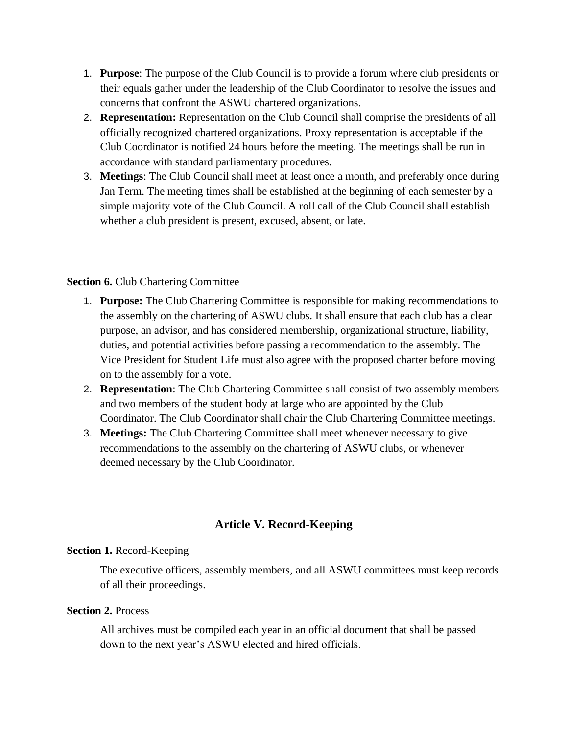- 1. **Purpose**: The purpose of the Club Council is to provide a forum where club presidents or their equals gather under the leadership of the Club Coordinator to resolve the issues and concerns that confront the ASWU chartered organizations.
- 2. **Representation:** Representation on the Club Council shall comprise the presidents of all officially recognized chartered organizations. Proxy representation is acceptable if the Club Coordinator is notified 24 hours before the meeting. The meetings shall be run in accordance with standard parliamentary procedures.
- 3. **Meetings**: The Club Council shall meet at least once a month, and preferably once during Jan Term. The meeting times shall be established at the beginning of each semester by a simple majority vote of the Club Council. A roll call of the Club Council shall establish whether a club president is present, excused, absent, or late.

#### **Section 6.** Club Chartering Committee

- 1. **Purpose:** The Club Chartering Committee is responsible for making recommendations to the assembly on the chartering of ASWU clubs. It shall ensure that each club has a clear purpose, an advisor, and has considered membership, organizational structure, liability, duties, and potential activities before passing a recommendation to the assembly. The Vice President for Student Life must also agree with the proposed charter before moving on to the assembly for a vote.
- 2. **Representation**: The Club Chartering Committee shall consist of two assembly members and two members of the student body at large who are appointed by the Club Coordinator. The Club Coordinator shall chair the Club Chartering Committee meetings.
- 3. **Meetings:** The Club Chartering Committee shall meet whenever necessary to give recommendations to the assembly on the chartering of ASWU clubs, or whenever deemed necessary by the Club Coordinator.

# **Article V. Record-Keeping**

## **Section 1.** Record-Keeping

The executive officers, assembly members, and all ASWU committees must keep records of all their proceedings.

#### **Section 2.** Process

All archives must be compiled each year in an official document that shall be passed down to the next year's ASWU elected and hired officials.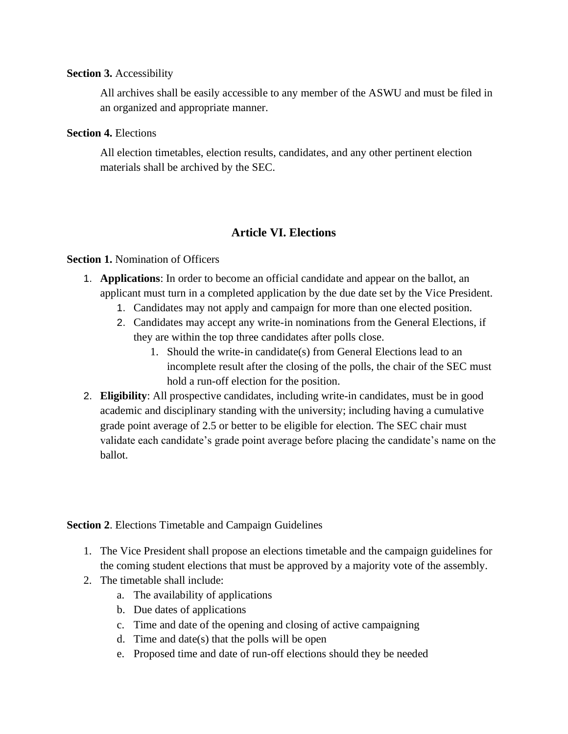#### **Section 3.** Accessibility

All archives shall be easily accessible to any member of the ASWU and must be filed in an organized and appropriate manner.

#### **Section 4.** Elections

All election timetables, election results, candidates, and any other pertinent election materials shall be archived by the SEC.

## **Article VI. Elections**

#### **Section 1.** Nomination of Officers

- 1. **Applications**: In order to become an official candidate and appear on the ballot, an applicant must turn in a completed application by the due date set by the Vice President.
	- 1. Candidates may not apply and campaign for more than one elected position.
	- 2. Candidates may accept any write-in nominations from the General Elections, if they are within the top three candidates after polls close.
		- 1. Should the write-in candidate(s) from General Elections lead to an incomplete result after the closing of the polls, the chair of the SEC must hold a run-off election for the position.
- 2. **Eligibility**: All prospective candidates, including write-in candidates, must be in good academic and disciplinary standing with the university; including having a cumulative grade point average of 2.5 or better to be eligible for election. The SEC chair must validate each candidate's grade point average before placing the candidate's name on the ballot.

**Section 2**. Elections Timetable and Campaign Guidelines

- 1. The Vice President shall propose an elections timetable and the campaign guidelines for the coming student elections that must be approved by a majority vote of the assembly.
- 2. The timetable shall include:
	- a. The availability of applications
	- b. Due dates of applications
	- c. Time and date of the opening and closing of active campaigning
	- d. Time and date(s) that the polls will be open
	- e. Proposed time and date of run-off elections should they be needed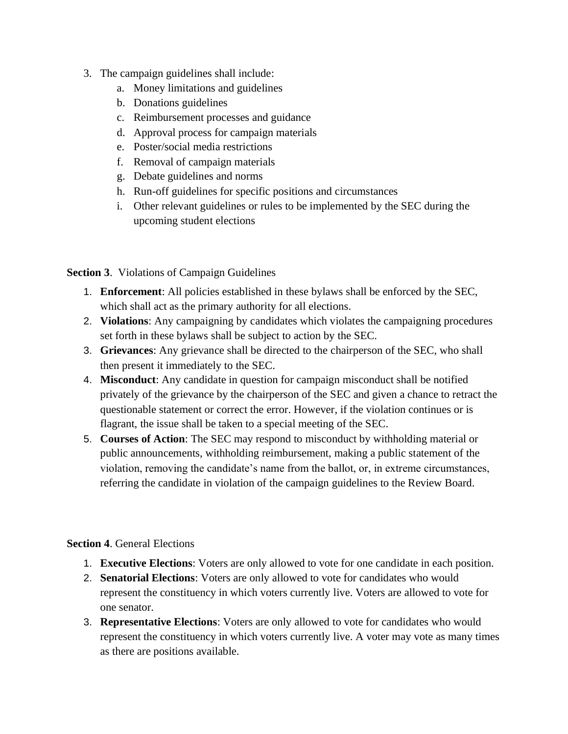- 3. The campaign guidelines shall include:
	- a. Money limitations and guidelines
	- b. Donations guidelines
	- c. Reimbursement processes and guidance
	- d. Approval process for campaign materials
	- e. Poster/social media restrictions
	- f. Removal of campaign materials
	- g. Debate guidelines and norms
	- h. Run-off guidelines for specific positions and circumstances
	- i. Other relevant guidelines or rules to be implemented by the SEC during the upcoming student elections

**Section 3**. Violations of Campaign Guidelines

- 1. **Enforcement**: All policies established in these bylaws shall be enforced by the SEC, which shall act as the primary authority for all elections.
- 2. **Violations**: Any campaigning by candidates which violates the campaigning procedures set forth in these bylaws shall be subject to action by the SEC.
- 3. **Grievances**: Any grievance shall be directed to the chairperson of the SEC, who shall then present it immediately to the SEC.
- 4. **Misconduct**: Any candidate in question for campaign misconduct shall be notified privately of the grievance by the chairperson of the SEC and given a chance to retract the questionable statement or correct the error. However, if the violation continues or is flagrant, the issue shall be taken to a special meeting of the SEC.
- 5. **Courses of Action**: The SEC may respond to misconduct by withholding material or public announcements, withholding reimbursement, making a public statement of the violation, removing the candidate's name from the ballot, or, in extreme circumstances, referring the candidate in violation of the campaign guidelines to the Review Board.

# **Section 4**. General Elections

- 1. **Executive Elections**: Voters are only allowed to vote for one candidate in each position.
- 2. **Senatorial Elections**: Voters are only allowed to vote for candidates who would represent the constituency in which voters currently live. Voters are allowed to vote for one senator.
- 3. **Representative Elections**: Voters are only allowed to vote for candidates who would represent the constituency in which voters currently live. A voter may vote as many times as there are positions available.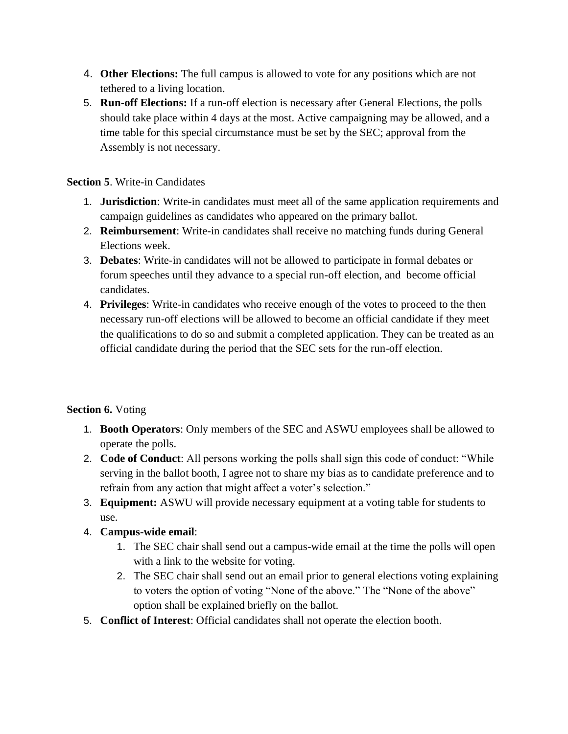- 4. **Other Elections:** The full campus is allowed to vote for any positions which are not tethered to a living location.
- 5. **Run-off Elections:** If a run-off election is necessary after General Elections, the polls should take place within 4 days at the most. Active campaigning may be allowed, and a time table for this special circumstance must be set by the SEC; approval from the Assembly is not necessary.

## **Section 5**. Write-in Candidates

- 1. **Jurisdiction**: Write-in candidates must meet all of the same application requirements and campaign guidelines as candidates who appeared on the primary ballot.
- 2. **Reimbursement**: Write-in candidates shall receive no matching funds during General Elections week.
- 3. **Debates**: Write-in candidates will not be allowed to participate in formal debates or forum speeches until they advance to a special run-off election, and become official candidates.
- 4. **Privileges**: Write-in candidates who receive enough of the votes to proceed to the then necessary run-off elections will be allowed to become an official candidate if they meet the qualifications to do so and submit a completed application. They can be treated as an official candidate during the period that the SEC sets for the run-off election.

# **Section 6.** Voting

- 1. **Booth Operators**: Only members of the SEC and ASWU employees shall be allowed to operate the polls.
- 2. **Code of Conduct**: All persons working the polls shall sign this code of conduct: "While serving in the ballot booth, I agree not to share my bias as to candidate preference and to refrain from any action that might affect a voter's selection."
- 3. **Equipment:** ASWU will provide necessary equipment at a voting table for students to use.
- 4. **Campus-wide email**:
	- 1. The SEC chair shall send out a campus-wide email at the time the polls will open with a link to the website for voting.
	- 2. The SEC chair shall send out an email prior to general elections voting explaining to voters the option of voting "None of the above." The "None of the above" option shall be explained briefly on the ballot.
- 5. **Conflict of Interest**: Official candidates shall not operate the election booth.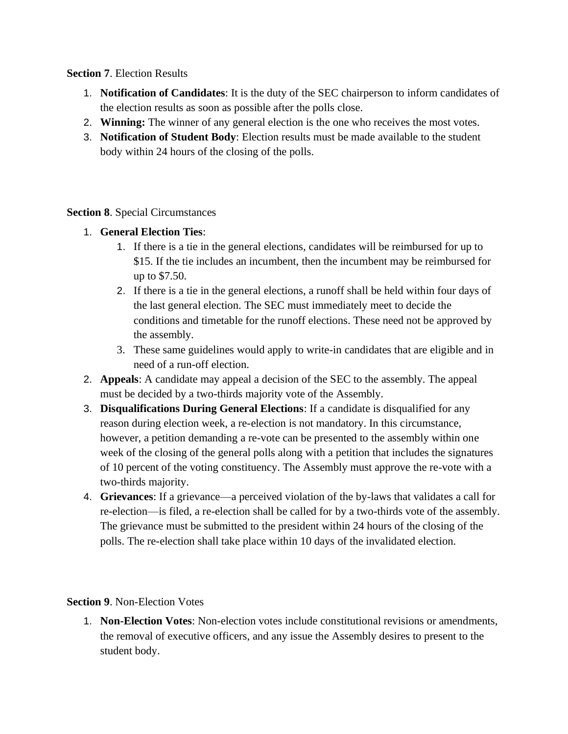#### **Section 7**. Election Results

- 1. **Notification of Candidates**: It is the duty of the SEC chairperson to inform candidates of the election results as soon as possible after the polls close.
- 2. **Winning:** The winner of any general election is the one who receives the most votes.
- 3. **Notification of Student Body**: Election results must be made available to the student body within 24 hours of the closing of the polls.

## **Section 8**. Special Circumstances

- 1. **General Election Ties**:
	- 1. If there is a tie in the general elections, candidates will be reimbursed for up to \$15. If the tie includes an incumbent, then the incumbent may be reimbursed for up to \$7.50.
	- 2. If there is a tie in the general elections, a runoff shall be held within four days of the last general election. The SEC must immediately meet to decide the conditions and timetable for the runoff elections. These need not be approved by the assembly.
	- 3. These same guidelines would apply to write-in candidates that are eligible and in need of a run-off election.
- 2. **Appeals**: A candidate may appeal a decision of the SEC to the assembly. The appeal must be decided by a two-thirds majority vote of the Assembly.
- 3. **Disqualifications During General Elections**: If a candidate is disqualified for any reason during election week, a re-election is not mandatory. In this circumstance, however, a petition demanding a re-vote can be presented to the assembly within one week of the closing of the general polls along with a petition that includes the signatures of 10 percent of the voting constituency. The Assembly must approve the re-vote with a two-thirds majority.
- 4. **Grievances**: If a grievance—a perceived violation of the by-laws that validates a call for re-election—is filed, a re-election shall be called for by a two-thirds vote of the assembly. The grievance must be submitted to the president within 24 hours of the closing of the polls. The re-election shall take place within 10 days of the invalidated election.

## **Section 9**. Non-Election Votes

1. **Non-Election Votes**: Non-election votes include constitutional revisions or amendments, the removal of executive officers, and any issue the Assembly desires to present to the student body.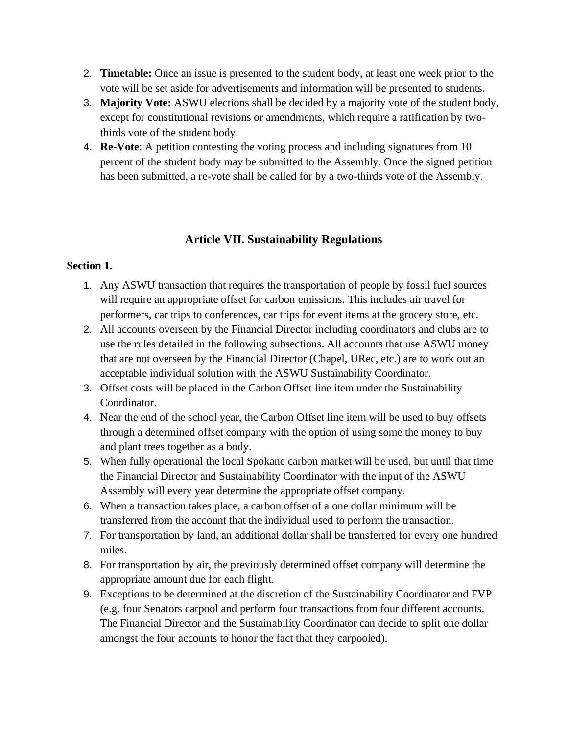- 2. **Timetable:** Once an issue is presented to the student body, at least one week prior to the vote will be set aside for advertisements and information will be presented to students.
- 3. **Majority Vote:** ASWU elections shall be decided by a majority vote of the student body, except for constitutional revisions or amendments, which require a ratification by twothirds vote of the student body.
- 4. **Re-Vote**: A petition contesting the voting process and including signatures from 10 percent of the student body may be submitted to the Assembly. Once the signed petition has been submitted, a re-vote shall be called for by a two-thirds vote of the Assembly.

## **Article VII. Sustainability Regulations**

#### **Section 1.**

- 1. Any ASWU transaction that requires the transportation of people by fossil fuel sources will require an appropriate offset for carbon emissions. This includes air travel for performers, car trips to conferences, car trips for event items at the grocery store, etc.
- 2. All accounts overseen by the Financial Director including coordinators and clubs are to use the rules detailed in the following subsections. All accounts that use ASWU money that are not overseen by the Financial Director (Chapel, URec, etc.) are to work out an acceptable individual solution with the ASWU Sustainability Coordinator.
- 3. Offset costs will be placed in the Carbon Offset line item under the Sustainability Coordinator.
- 4. Near the end of the school year, the Carbon Offset line item will be used to buy offsets through a determined offset company with the option of using some the money to buy and plant trees together as a body.
- 5. When fully operational the local Spokane carbon market will be used, but until that time the Financial Director and Sustainability Coordinator with the input of the ASWU Assembly will every year determine the appropriate offset company.
- 6. When a transaction takes place, a carbon offset of a one dollar minimum will be transferred from the account that the individual used to perform the transaction.
- 7. For transportation by land, an additional dollar shall be transferred for every one hundred miles.
- 8. For transportation by air, the previously determined offset company will determine the appropriate amount due for each flight.
- 9. Exceptions to be determined at the discretion of the Sustainability Coordinator and FVP (e.g. four Senators carpool and perform four transactions from four different accounts. The Financial Director and the Sustainability Coordinator can decide to split one dollar amongst the four accounts to honor the fact that they carpooled).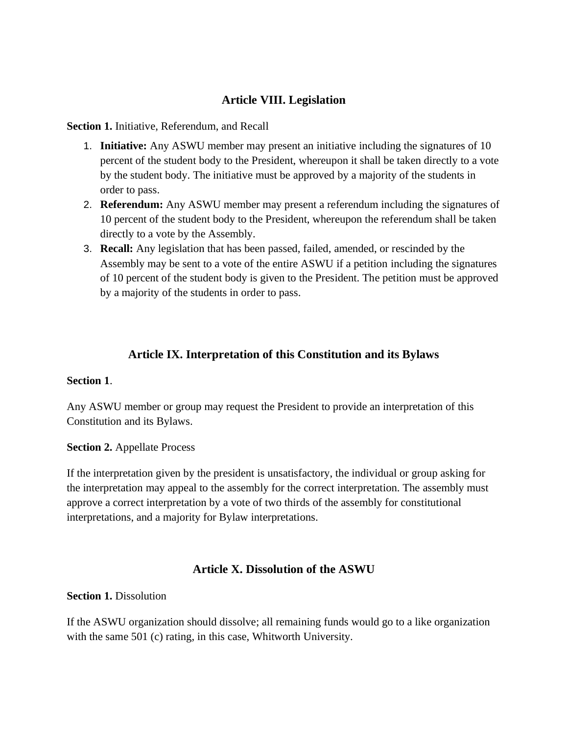# **Article VIII. Legislation**

**Section 1.** Initiative, Referendum, and Recall

- 1. **Initiative:** Any ASWU member may present an initiative including the signatures of 10 percent of the student body to the President, whereupon it shall be taken directly to a vote by the student body. The initiative must be approved by a majority of the students in order to pass.
- 2. **Referendum:** Any ASWU member may present a referendum including the signatures of 10 percent of the student body to the President, whereupon the referendum shall be taken directly to a vote by the Assembly.
- 3. **Recall:** Any legislation that has been passed, failed, amended, or rescinded by the Assembly may be sent to a vote of the entire ASWU if a petition including the signatures of 10 percent of the student body is given to the President. The petition must be approved by a majority of the students in order to pass.

# **Article IX. Interpretation of this Constitution and its Bylaws**

#### **Section 1**.

Any ASWU member or group may request the President to provide an interpretation of this Constitution and its Bylaws.

#### **Section 2.** Appellate Process

If the interpretation given by the president is unsatisfactory, the individual or group asking for the interpretation may appeal to the assembly for the correct interpretation. The assembly must approve a correct interpretation by a vote of two thirds of the assembly for constitutional interpretations, and a majority for Bylaw interpretations.

## **Article X. Dissolution of the ASWU**

#### **Section 1. Dissolution**

If the ASWU organization should dissolve; all remaining funds would go to a like organization with the same 501 (c) rating, in this case, Whitworth University.